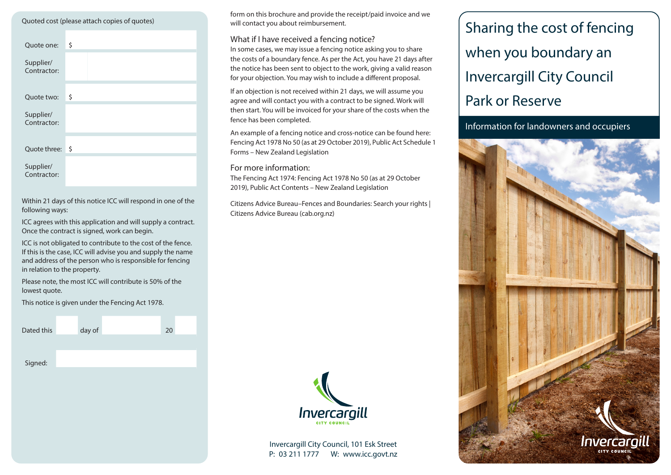| Quoted cost (please attach copies of quotes) |    |  |  |  |  |  |  |  |
|----------------------------------------------|----|--|--|--|--|--|--|--|
| Quote one:                                   | \$ |  |  |  |  |  |  |  |
| Supplier/<br>Contractor:                     |    |  |  |  |  |  |  |  |
| Quote two:                                   | \$ |  |  |  |  |  |  |  |
| Supplier/<br>Contractor:                     |    |  |  |  |  |  |  |  |
| Quote three:                                 | \$ |  |  |  |  |  |  |  |
| Supplier/<br>Contractor:                     |    |  |  |  |  |  |  |  |

Within 21 days of this notice ICC will respond in one of the following ways:

ICC agrees with this application and will supply a contract. Once the contract is signed, work can begin.

ICC is not obligated to contribute to the cost of the fence. If this is the case, ICC will advise you and supply the name and address of the person who is responsible for fencing in relation to the property.

Please note, the most ICC will contribute is 50% of the lowest quote.

This notice is given under the Fencing Act 1978.

| Dated this | day of | 20 |  |
|------------|--------|----|--|
|            |        |    |  |
| Signed:    |        |    |  |
|            |        |    |  |

form on this brochure and provide the receipt/paid invoice and we will contact you about reimbursement.

#### What if I have received a fencing notice?

In some cases, we may issue a fencing notice asking you to share the costs of a boundary fence. As per the Act, you have 21 days after the notice has been sent to object to the work, giving a valid reason for your objection. You may wish to include a different proposal.

If an objection is not received within 21 days, we will assume you agree and will contact you with a contract to be signed. Work will then start. You will be invoiced for your share of the costs when the fence has been completed.

An example of a fencing notice and cross-notice can be found here: Fencing Act 1978 No 50 (as at 29 October 2019), Public Act Schedule 1 Forms – New Zealand Legislation

#### For more information:

The Fencing Act 1974: Fencing Act 1978 No 50 (as at 29 October 2019), Public Act Contents – New Zealand Legislation

Citizens Advice Bureau–Fences and Boundaries: Search your rights | Citizens Advice Bureau (cab.org.nz)



Invercargill City Council, 101 Esk Street P: 03 211 1777 W: www.icc.govt.nz

# Sharing the cost of fencing when you boundary an Invercargill City Council Park or Reserve

Information for landowners and occupiers